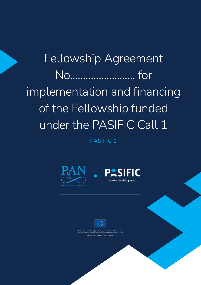# Fellowship Agreement No……………………. for implementation and financing of the Fellowship funded under the PASIFIC Call 1

PASIFIC 1







d funding from the European Union's Horizon 2020 research and<br>under the Maria Skłodowska-Curie grant agreement No.847639 Maria Skłodowska-Curie Actions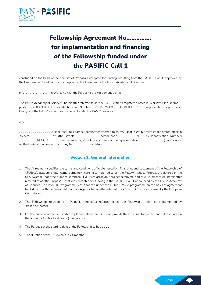

# Fellowship Agreement No…………… for implementation and financing of the Fellowship funded under the PASIFIC Call 1

concluded on the basis of the final list of Proposals accepted for funding, resulting from the PASIFIC Call 1, approved by the Programme Coordinator and accepted by the President of the Polish Academy of Sciences

on . . . . . . . . . . . . . . . . . . in Warsaw, with the Parties to the Agreement being:

The Polish Academy of Sciences, hereinafter referred to as "the PAS", with its registered office in Warsaw, Plac Defilad 1, postal code 00-901, NIP (Tax Identification Number) 525-15-75-083, REGON 000325713, represented by prof. Jerzy Duszyński, the PAS President and Tadeusz Latała, the PAS Chancellor

and

………………………………………….<Host Institute's name>, hereinafter referred to as "the Host Institute", with its registered office in <place>……………….……… , at <the street> ………………………….., postal code ……………….., NIP (Tax Identification Number) …………………...., REGON ……………..., represented by <the title and name of the representative> ………………………….... (If applicable: on the basis of the power of attorney No. ……………… . of <date>…………………...).

### Section 1: General information

- 1. The Agreement specifies the terms and conditions of implementation, financing, and settlement of the Fellowship of <Fellow's academic\_title, name, surname>, hereinafter referred to as "the Fellow", whose Proposal, registered in the SEA System under the number <proposal\_ID>, with acronym <project acronym> and title <project title>, hereinafter referred to as "the Proposal", that was accepted for funding in the PASIFIC Call 1 announced by the Polish Academy of Sciences. The PASIFIC Programme is co-financed under the H2020 MSCA programme on the basis of agreement No. 847639 with the Research Executive Agency, hereinafter referred to as "the REA", duly authorised by the European Commission.
- 2. The Fellowship, referred to in Point 1, hereinafter referred to as "the Fellowship", shall be implemented by <Institute\_name>.
- 3. For the purpose of the Fellowship implementation, the PAS shall provide the Host Institute with financial resources in the amount of PLN <total cost> (in words: …).
- 4. The Parties set the starting date of the Fellowship to be .............
- 5. The duration of the Fellowship is 24 months.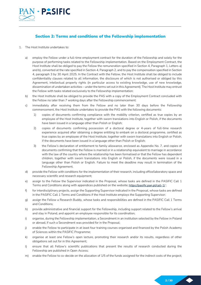

### Section 2: Terms and conditions of the Fellowship implementation

### 1. The Host Institute undertakes to:

- a) employ the Fellow under a full-time employment contract for the duration of the Fellowship and solely for the purpose of performing tasks related to the Fellowship implementation. Based on the Employment Contract, the Host Institute shall be obliged to pay the Fellow the remuneration specified in Section 4, Paragraph 1, Letters a) and b), converted at the rate specified in Section 4, Paragraph 2, and to pay the compensation specified in Section 4, paragraph 3 by 30 April 2025. In the Contract with the Fellow, the Host Institute shall be obliged to include confidentiality clauses related to all information, the disclosure of which is not authorised or obliged by this Agreement, intellectual property rights (in particular access to existing knowledge, use of new knowledge, dissemination of undertaken activities – under the terms set out in this Agreement). The Host Institute may entrust the Fellow with tasks related exclusively to the Fellowship implementation;
- b) the Host Institute shall be obliged to provide the PAS with a copy of the Employment Contract concluded with the Fellow no later than 7 working days after the Fellowship commencement:
- c) immediately after receiving them from the Fellow and no later than 30 days before the Fellowship commencement, the Host Institute undertakes to provide the PAS with the following documents:
	- 1) copies of documents confirming compliance with the mobility criterion, certified as true copies by an employee of the Host Institute, together with sworn translations into English or Polish, if the documents have been issued in a language other than Polish or English;
	- 2) copies of documents confirming possession of a doctoral degree or 4-years of full-time research experience acquired after obtaining a degree entitling to embark on a doctoral programme, certified as true copies by an employee of the Host Institute, together with sworn translations into English or Polish, if the documents have been issued in a language other than Polish or English;
	- 3) the Fellow's declaration of entitlement to family allowance, enclosed as Appendix No. 7, and copies of documents confirming that the Fellow is married or in a relationship equivalent to marriage in accordance with the law of the country where the relationship has been formalised or that the Fellow has dependent children, together with sworn translations into English or Polish, if the documents were issued in a language other than Polish or English. Failure to meet the deadline may result in termination of the Fellowship Agreement.
- d) provide the Fellow with conditions for the implementation of their research, including office/laboratory space and necessary scientific and research equipment;
- e) assign to the Fellow the Supervisor indicated in the Proposal, whose tasks are defined in the PASIFIC Call 1 Terms and Conditions along with appendices published on the website: https://pasific.pan.pl/call-1/ ;
- f) for interdisciplinary projects, assign the Supporting Supervisor indicated in the Proposal, whose tasks are defined in the PASIFIC Call 1 Terms and Conditions if the Host Institute employs the Supporting Supervisor;
- g) assign the Fellow a Research Buddy, whose tasks and responsibilities are defined in the PASIFIC Call 1 Terms and Conditions;
- h) provide administrative and financial support for the Fellowship, including support related to the Fellow's arrival and stay in Poland, and appoint an employee responsible for its coordination;
- i) organise, during the Fellowship implementation, a Secondment in an institution selected by the Fellow in Poland or abroad, if such a Secondment was provided for in the Proposal;
- j) enable the Fellow to participate in at least four training courses organised and financed by the Polish Academy of Sciences within the PASIFIC Programme;
- k) organise at least one Fellow's open lecture, promoting their research and/or its results, regardless of other obligations set out for in this Agreement;
- l) ensure that all Fellow's scientific publications that present the results of research conducted during the Fellowship are published in Open Access;
- m) enable the Fellow to co-decide on the allocation of 1/5 of the funds assigned for the indirect costs of the project;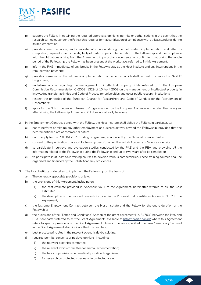

- n) support the Fellow in obtaining the required approvals, opinions, permits or authorisations in the event that the research carried out under the Fellowship requires formal certification of compliance with ethical standards during its implementation;
- o) provide correct, accurate, and complete information, during the Fellowship implementation and after its completion, required to verify the eligibility of costs, proper implementation of the Fellowship, and the compliance with the obligations arising from the Agreement, in particular, documentation confirming that during the whole period of the Fellowship the Fellow has been present at the workplace, referred to in this Agreement;
- p) inform the PAS immediately of any breaks in the Fellow's stay at the Host Institute and any interruptions in the remuneration payment;
- q) provide information on the Fellowship implementation by the Fellow, which shall be used to promote the PASIFIC Programme;
- r) undertake actions regarding the management of intellectual property rights referred to in the European Commission Recommendation C (2008) 1329 of 10 April 2008 on the management of intellectual property in knowledge transfer activities and Code of Practice for universities and other public research institutions;
- s) respect the principles of the European Charter for Researchers and Code of Conduct for the Recruitment of Researchers;
- t) apply for the "HR Excellence in Research" logo awarded by the European Commission no later than one year after signing the Fellowship Agreement, if it does not already have one.
- 2. In the Employment Contract signed with the Fellow, the Host Institute shall oblige the Fellow, in particular, to:
	- a) not to perform or take up any other employment or business activity beyond the Fellowship, provided that the beforementioned are of commercial nature
	- b) not to apply for the POLONEZ BIS funding programme, announced by the National Science Centre;
	- c) consent to the publication of a short Fellowship description on the Polish Academy of Sciences website
	- d) to participate in surveys and evaluation studies conducted by the PAS and the REA and providing all the information related to the Fellowship during the Fellowship and up to two years after its completion;
	- e) to participate in at least four training courses to develop various competencies. These training courses shall be organised and financed by the Polish Academy of Sciences.
- 3. The Host Institute undertakes to implement the Fellowship on the basis of:
	- a) The generally applicable provisions of law;
	- b) the provisions of this Agreement, including on:
		- 1) the cost estimate provided in Appendix No. 1 to the Agreement, hereinafter referred to as "the Cost Estimate";
		- 2) the description of the planned research included in the Proposal that constitutes Appendix No. 2 to the Agreement;
	- c) the full-time Employment Contract between the Host Institute and the Fellow for the entire duration of the Fellowship;
	- d) the provisions of the "Terms and Conditions" Section of the grant agreement No. 847639 between the PAS and REA, hereinafter referred to as "the Grant Agreement", available at https://pasific.pan.pl/ where this Agreement refers to specific provisions of the Grant Agreement. Unless otherwise specified, the term "beneficiary" as used in the Grant Agreement shall indicate the Host Institute;
	- e) best practice principles in the relevant scientific field/discipline;
	- f) required permits, consents or positive opinions, including:
		- 1) the relevant bioethics committee;
		- 2) the relevant ethics committee for animal experimentation;
		- 3) the basis of provisions on genetically modified organisms;
		- 4) for research on protected species or in protected areas;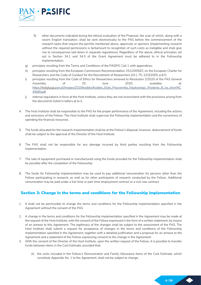

- 5) other documents indicated during the ethical evaluation of the Proposal, the scan of which, along with a sworn English translation, shall be sent electronically to the PAS before the commencement of the research tasks that require the permits mentioned above, approvals or opinions (implementing research without the required permissions is tantamount to recognition of such costs as ineligible and shall give rise to consequences laid down in separate regulations). Regardless of the above, ethical principles set out in Section 34.1 and 34.3 of the Grant Agreement must be adhered to in the Fellowship implementation;
- g) principles resulting from the Terms and Conditions of the PASIFIC Call 1 with appendices;
- h) principles resulting from the European Commission Recommendation 251/2005/EC on the European Charter for Researchers and the Code of Conduct for the Recruitment of Researchers (OJ L 75, 22/3/2005, p.67);
- i) principles resulting from the Code of Ethics for Researchers annexed to Resolution 2/2020 of the PAS General Assembly of 25 June 2020, available at: https://instytucja.pan.pl/images/2020/kodeks/Kodeks\_Etyki\_Pracownika\_Naukowego\_Wydanie\_III\_na\_stron%C 4%99.pdf
- j) internal regulations in force at the Host Institute, unless they are not inconsistent with the provisions arising from the documents listed in letters a) to i).
- 4. The Host Institute shall be responsible to the PAS for the proper performance of the Agreement, including the actions and omissions of the Fellow. The Host Institute shall supervise the Fellowship implementation and the correctness of spending the financial resources.
- 5. The funds allocated for the research implementation shall be at the Fellow's disposal; however, disbursement of funds shall be subject to the approval of the Director of the Host Institute.
- 6. The PAS shall not be responsible for any damage incurred by third parties resulting from the Fellowship implementation.
- 7. The sale of equipment purchased or manufactured using the funds provided for the Fellowship implementation shall be possible after the completion of the Fellowship.
- 8. The funds for Fellowship implementation may be used to pay additional remuneration for persons other than the Fellow participating in research, as well as for other participants of research conducted by the Fellow. Additional remuneration may be paid under a full-time or part-time employment contract or a civil-law contract.

### Section 3: Change in the terms and conditions for the Fellowship implementation

- 1. It shall not be permissible to change the terms and conditions for the Fellowship implementation specified in the Agreement without the consent of the PAS.
- 2. A change in the terms and conditions for the Fellowship implementation specified in the Agreement may be made at the request of the Host Institute, with the consent of the Fellow expressed in the form of a written statement, by means of an annexe to this Agreement. The legitimacy of the changes shall be subject to the assessment of the PAS. The Host Institute shall submit a request for acceptance of changes in the terms and conditions of the Fellowship implementation specified in the Agreement, together with a detailed justification and a proposal for an annexe to the Agreement and a statement of the Fellow expressing consent to the change in the Agreement.
- 3. With the consent of the Director of the Host Institute, upon the written request of the Fellow, it is possible to transfer funds between items in the Cost Estimate, provided that:
	- A) the costs included in the Fellow's Remuneration and Family Allowance items of the Cost Estimate, which constitute Appendix No. 1 to the Agreement, shall not be subject to change;

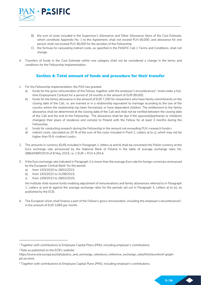

- B) the sum of costs included in the Supervisor's Allowance and Other Allowance items of the Cost Estimate, which constitute Appendix No. 1 to the Agreement, shall not exceed PLN 60,000, and allowance for one person shall not exceed PLN 36,000 for the duration of the Fellowship;
- C) the formula for calculating indirect costs, as specified in the PASIFIC Call 1 Terms and Conditions, shall not change.
- 4. Transfers of funds in the Cost Estimate within one category shall not be considered a change in the terms and conditions for the Fellowship implementation.

### Section 4: Total amount of funds and procedure for their transfer

- 1. For the Fellowship implementation, the PAS has granted:
	- a) funds for the gross remuneration of the Fellow, together with the employer's encumbrances<sup>1</sup>, hired under a fulltime Employment Contract for a period of 24 months in the amount of EUR 99,000;
	- b) funds for the family allowance in the amount of EUR 7,200 for researchers who have family commitments on the closing date of the Call, i.e. are married or in a relationship equivalent to marriage according to the law of the country where the relationship has been formalised, or have dependent children. The entitlement to the family allowance shall be determined at the closing date of the Call and shall not be verified between the closing date of the Call and the end of the Fellowship. The allowance shall be due if the spouse(s)/partner(s) or child(ren) change(s) their place of residence and come(s) to Poland with the Fellow for at least 3 months during the Fellowship;
	- c) funds for conducting research during the Fellowship in the amount not exceeding PLN <research funds>;
	- d) indirect costs, calculated as 20 % of the sum of the costs included in Point 1, Letters a) to c), which may not be higher than PLN <indirect costs>,
- 2. The amounts in currency (EUR) included in Paragraph 1, letters a) and b) shall be converted into Polish currency at the Euro exchange rate announced by the National Bank of Poland in the table of average exchange rates No. 088/A/NBP/2019 of 8 May 2019, i.e. 1 EUR = PLN 4.2914;
- 3. If the Euro exchange rate indicated in Paragraph 2 is lower than the average Euro rate for foreign currencies announced by the European Central Bank<sup>2</sup> for the period:
	- a) from 1/03/2020 to 28/02/2022;
	- b) from 1/03/2022 to 31/08/2023;
	- c) from 1/09/2023 to 28/02/2025;

the Institute shall receive funds enabling adjustment of remunerations and family allowances referred to in Paragraph 1, Letters a) and b) against the average exchange rates for the periods set out in Paragraph 3, Letters a) to (c), as published by the ECB.

4. The European Union shall finance a part of the Fellow's gross remuneration, including the employer's encumbrances<sup>3</sup>, in the amount of EUR 3,065 per month.

<sup>1</sup>Together with contributions to Employee Capital Plans (PKK), including employer's contributions.

<sup>&</sup>lt;sup>2</sup> Rate as published on the ECB's website:

https://www.ecb.europa.eu/stats/policy\_and\_exchange\_rates/euro\_reference\_exchange\_rates/html/eurofxref-graphpln.en.html:

<sup>3</sup> Together with contributions to Employee Capital Plans (PKK), including employer's contributions.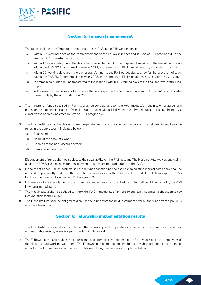

### Section 5: Financial management

- 1. The funds shall be transferred to the Host Institute by PAS in the following manner:
	- a) within 10 working days of the commencement of the Fellowship specified in Section 1, Paragraph 4, in the amount of PLN <instalment> ...., in words <....> zloty
	- b) within 10 working days from the day of transferring to the PAS, the purposeful subsidy for the execution of tasks within the PASIFIC Programme in the year 2022, in the amount of PLN <instalment>...., in words <....> x zloty
	- c) within 10 working days from the day of transferring to the PAS purposeful subsidy for the execution of tasks within the PASIFIC Programme in the year 2023, in the amount of PLN <instalment> ...., in words <...> x zloty
	- d) the remaining funds shall be transferred to the Institute within 10 working days of the final approval of the Final Report;
	- e) in the event of the necessity to disburse the funds specified in Section 4, Paragraph 3, the PAS shall transfer these funds by the end of March 2025.
- 2. The transfer of funds specified in Point 1 shall be conditional upon the Host Institute's transmission of accounting notes for the amounts indicated in Point 1, Letters a) to e) within 14 days from the PAN request for issuing the note via e-mail to the address indicated in Section 11, Paragraph 6.
- 3. The Host Institute shall be obliged to keep separate financial and accounting records for the Fellowship and keep the funds in the bank account indicated below:
	- a) Bank name;
	- b) Name of the account owner;
	- c) Address of the bank account owner;
	- d) Bank account number.
- 4. Disbursement of funds shall be subject to their availability on the PAS account. The Host Institute waives any claims against the PAS if the reasons for non-payment of funds are not attributable to the PAS.
- 5. In the event of non-use or incorrect use of the funds constituting the basis for calculating indirect costs, they shall be reduced proportionally, and the difference shall be reimbursed within 14 days of the end of the Fellowship to the PAS bank account referred to in Section 11, Paragraph 8.
- 6. In the event of any irregularities in the Agreement implementation, the Host Institute shall be obliged to notify the PAS in writing immediately.
- 7. The Host Institute shall be obliged to inform the PAS immediately of any circumstances that affect its obligation to pay remuneration to the Fellow.
- 8. The Host Institute shall be obliged to disburse the funds from the next instalment after all the funds from a previous one have been used.

### Section 6: Fellowship implementation results

- 1. The Host Institute undertakes to implement the Fellowship and cooperate with the Fellow to ensure the achievement of measurable results, as envisaged in the funding Proposal.
- 2. The Fellowship should result in the professional and scientific development of the Fellow as well as the employees of the Host Institute working with them. The Fellowship implementation should also result in scientific publications or other forms of dissemination of the results obtained during the Fellowship implementation.

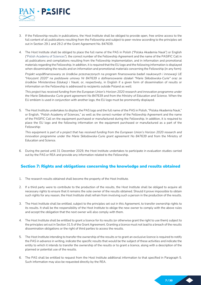

- 3. If the Fellowship results in publications, the Host Institute shall be obliged to provide open, free online access to the full content of all publications resulting from the Fellowship and subject to peer-review according to the principles set out in Section 29.1 and 29.2 of the Grant Agreement No. 847639.
- 4. The Host Institute shall be obliged to place the full name of the PAS in Polish ("Polska Akademia Nauk") or English ("Polish Academy of Sciences"). the correct number of the Fellowship Agreement and the name of the PASIFIC Call in all publications and compilations resulting from the Fellowship implementation, and in information and promotional materials regarding the Fellowship. In addition, it is required that the EU logo and the following information is displayed when disseminating the results and on information and promotional materials concerning the Fellowship (in any form):

Projekt współfinansowany ze środków przeznaczonych na program finansowania badań naukowych i innowacji UE "Horyzont 2020" na podstawie umowy Nr 847639 o dofinansowanie działań "Marie Skłodowska-Curie" oraz ze środków Ministerstwa Edukacji i Nauki, or, respectively, in English if a given form of dissemination of results or information on the Fellowship is addressed to recipients outside Poland as well:

This project has received funding from the European Union's Horizon 2020 research and innovation programme under the Marie Skłodowska-Curie grant agreement No 847639 and from the Ministry of Education and Science. When the EU emblem is used in conjunction with another logo, the EU logo must be prominently displayed.

5. The Host Institute undertakes to display the PAS logo and the full name of the PAS in Polish, "Polska Akademia Nauk," or English, "Polish Academy of Sciences," as well as the correct number of the Fellowship Agreement and the name of the PASIFIC Call on the equipment purchased or manufactured during the Fellowship. In addition, it is required to place the EU logo and the following information on the equipment purchased or manufactured as a part of the Fellowship:

This equipment is part of a project that has received funding from the European Union's Horizon 2020 research and innovation programme under the Marie Skłodowska-Curie grant agreement No 847639 and from the Ministry of Education and Science.

6. During the period until 31 December 2029, the Host Institute undertakes to participate in evaluation studies carried out by the PAS or REA and provide any information related to the Fellowship.

### Section 7: Rights and obligations concerning the knowledge and results obtained

- 1. The research results obtained shall become the property of the Host Institute.
- 2. If a third party were to contribute to the production of the results, the Host Institute shall be obliged to acquire all necessary rights to ensure that it remains the sole owner of the results obtained. Should it prove impossible to obtain such rights for any reason, the Host Institute shall refrain from involving such a person in the production of the results.
- 3. The Host Institute shall be entitled, subject to the principles set out in this Agreement, to transfer ownership rights to its results. It shall be the responsibility of the Host Institute to oblige the new owner to comply with the above rules and accept the obligation that the next owner will also comply with them.
- 4. The Host Institute shall be entitled to grant a licence for its results (or otherwise grant the right to use them) subject to the principles set out in Section 31.5 of the Grant Agreement. Granting a licence must not lead to a breach of the results dissemination obligations or the right of third parties to access the results.
- 5. The Host Institute intending to transfer the ownership of the results or to grant an exclusive licence is required to notify the PAS in advance in writing, indicate the specific results that would be the subject of these activities and indicate the entity to which it intends to transfer the ownership of the results or to grant a licence, along with a description of the planned or potential use of the results.
- 6. The PAS shall be entitled to request from the Host Institute additional information to that specified in Paragraph 5. Such information may also be requested directly by the REA.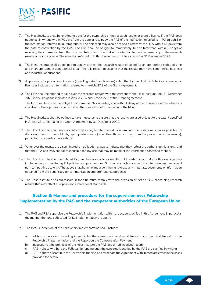

- 7. The Host Institute shall be entitled to transfer the ownership of the research results or grant a licence if the PAS does not object in writing within 70 days from the date of receipt by the PAS of the notification referred to in Paragraph 5 or the information referred to in Paragraph 6. The objection may also be raised directly by the REA within 60 days from the date of notification by the PAS. The PAS shall be obliged to immediately, but no later than within 10 days of receiving the information from the Host Institute, inform the REA of its intention to transfer ownership of the research results or grant a licence. The objection referred to in this Section may not be raised after 31 December 2029.
- 8. The Host Institute shall be obliged to legally protect the research results obtained for an appropriate period of time and in an appropriate geographical area if there is reason to assume that the results may have commercial, business and industrial applications.
- 9. Applications for protection of results (including patent applications) submitted by the Host Institute, its successors, or licensees include the information referred to in Article 27.3 of the Grant Agreement.
- 10. The REA shall be entitled to take over the research results with the consent of the Host Institute until 31 December 2029 in the situations indicated in Article 26.4 and Article 27.2 of the Grant Agreement.

The Host Institute shall be obliged to inform the PAS in writing and without delay of the occurrence of the situations specified in these provisions, which shall then pass this information on to the REA.

- 11. The Host Institute shall be obliged to take measures to ensure that the results are used at least to the extent specified in Article 28.1, Point a) of the Grant Agreement by 31 December 2029.
- 12. The Host Institute shall, unless contrary to its legitimate interests, disseminate the results as soon as possible by disclosing them to the public by appropriate means (other than those resulting from the protection of the results), particularly in scientific publications.
- 13. Whenever the results are disseminated, an obligation arises to indicate that they reflect the author's opinions only and that the REA and PAS are not responsible for any use that may be made of the information contained therein.
- 14. The Host Institute shall be obliged to grant free access to its results to EU institutions, bodies, offices or agencies implementing or monitoring EU policies and programmes. Such access rights are restricted to non-commercial and non-competitive use only. The above shall have no impact on the right to use any materials, documents or information obtained from the beneficiary for communication and promotional purposes.
- 15. The Host Institute or its successors in the title must comply with the provision of Article 28.2 concerning research results that may affect European and international standards.

### Section 8: Manner and procedure for the supervision over Fellowship implementation by the PAS and the competent authorities of the European Union

- 1. The PAS and REA supervise the Fellowship implementation within the scope specified in this Agreement, in particular the manner the funds allocated for its implementation are spent.
- 2. The PAS' supervision of the Fellowship implementation shall include:
	- a) ad hoc supervision, including in particular the assessment of Annual Reports and the Final Report on the Fellowship implementation and the Report on the Compensation Payment;
	- b) inspection at the premises of the Host Institute the PAS appointed inspection team;
	- c) PAS' right to withhold the Fellowship funding until the concerns identified by the PAS are clarified in writing;
	- d) PAS' right to discontinue the Fellowship funding and terminate the Agreement with immediate effect in the cases provided for herein.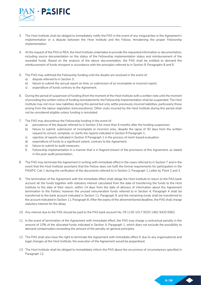

- 3. The Host Institute shall be obliged to immediately notify the PAS in the event of any irregularities in the Agreement's implementation or a dispute between the Host Institute and the Fellow, threatening the proper Fellowship implementation.
- 4. At the request of the PAS or REA, the Host Institute undertakes to provide the requested information or documentation, including source documentation on the status of the Fellowship implementation status and reimbursement of the awarded funds. Based on the analysis of the above documentation, the PAS shall be entitled to demand the reimbursement of funds misspent in accordance with the principles referred to in Section 9, Paragraphs 8 and 9.
- 5. The PAS may withhold the Fellowship funding until the doubts are resolved in the event of:
	- a) dispute referred to in Section 3;
	- b) failure to submit the annual report on time, or submission of an incomplete or incorrect report;
	- c) expenditure of funds contrary to the Agreement.
- 6. During the period of suspension of funding (from the moment of the Host Institute with a written note until the moment of providing the written notice of funding reinstatement), the Fellowship implementation shall be suspended. The Host Institute may not incur new liabilities during this period but only settle previously incurred liabilities, particularly those arising from the labour legislation (remunerations). Other costs incurred by the Host Institute during this period shall not be considered eligible unless funding is reinstated.
- 7. The PAS may discontinue the Fellowship funding in the event of:
	- a) persistence of the dispute referred to in Section 3 for more than 6 months after the funding suspension;
	- b) failure to submit, submission of incomplete or incorrect ones, despite the lapse of 30 days from the written request to correct, complete, or clarify the reports indicated in Section 9 Paragraph 1;
	- c) rejection of reports indicated in Section 9 Paragraph 1 in the process of merit-based evaluation;
	- d) expenditure of funds to a significant extent, contrary to the Agreement;
	- e) failure to submit to audit measures;
	- f) Fellowship implementation in a manner that is in flagrant breach of the provisions of this Agreement, as stated in the post-audit presentation.
- 8. The PAS may terminate the Agreement in writing with immediate effect in the cases referred to in Section 7 and in the event that the Host Institute ascertains that the Fellow does not fulfil the formal requirements for participation in the PASIFIC Call 1 during the verification of the documents referred to in Section 2, Paragraph 1, Letter b), Point 2 and 3.
- 9. The termination of the Agreement with the immediate effect shall oblige the Host Institute to return to the PAS bank account all the funds together with statutory interest calculated from the date of transferring the funds to the Host Institute to the date of their return, within 14 days from the date of delivery of information about the Agreement termination to the Parties; however the unused remuneration funds referred to in Section 4, Paragraph 4 shall be transferred to the bank account indicated in Section 11, Paragraph 9, and the remaining funds shall be transferred to the account indicated in Section 11, Paragraph 8. After the expiry of the aforementioned deadline, the PAS shall charge statutory interest for the delay.
- 10. Any interest due to the PAS should be paid to the PAS bank account No.:78 1130 1017 0020 1462 9420 0062.
- 11. In the event of termination of the Agreement with immediate effect, the PAS may charge a contractual penalty in the amount of 10% of the allocated funds indicated in Section 4, Paragraph 1, which does not exclude the possibility to demand compensation exceeding the amount of the penalty on general principles.
- 12. The PAS shall also have the right to terminate the Agreement with immediate effect if, due to any organisational and legal changes at the Host Institute, the execution of the Agreement would be jeopardised.
- 13. The Host Institute shall be obliged to immediately inform the PAS about the occurrence of circumstances specified in Paragraph 12.

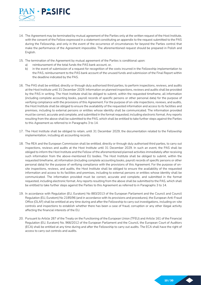

- 14. The Agreement may be terminated by mutual agreement of the Parties only at the written request of the Host Institute, with the consent of the Fellow expressed in a statement constituting an appendix to the request submitted to the PAS during the Fellowship, and only in the event of the occurrence of circumstances for beyond the Parties control that make the performance of the Agreement impossible. The aforementioned request should be prepared in Polish and English.
- 15. The termination of the Agreement by mutual agreement of the Parties is conditional upon:
	- a) reimbursement of the total funds the PAS bank account, or,
	- b) in the event of submission of a request for recognition of the costs incurred in the Fellowship implementation to the PAS, reimbursement to the PAS bank account of the unused funds and submission of the Final Report within the deadline indicated by the PAS.
- 16. The PAS shall be entitled, directly or through duly authorised third parties, to perform inspections, reviews, and audits at the Host Institute until 31 December 2029. Information on planned inspections, reviews and audits shall be provided by the PAS in writing. The Host Institute shall be obliged to submit, within the requested timeframe, all information (including complete accounting books, payroll records of specific persons or other personal data) for the purpose of verifying compliance with the provisions of this Agreement. For the purpose of on-site inspections, reviews, and audits, the Host Institute shall be obliged to ensure the availability of the requested information and access to its facilities and premises, including to external persons or entities whose identity shall be communicated. The information provided must be correct, accurate and complete, and submitted in the format requested, including electronic format. Any reports resulting from the above shall be submitted to the PAS, which shall be entitled to take further steps against the Parties to this Agreement as referred to in Paragraphs 3 to 14.
- 17. The Host Institute shall be obliged to retain, until 31 December 2029, the documentation related to the Fellowship implementation, including all accounting records.
- 18. The REA and the European Commission shall be entitled, directly or through duly authorised third parties, to carry out inspections, reviews and audits at the Host Institute until 31 December 2029. In such an event, the PAS shall be obliged to inform the Host Institute and the Fellow of the aforementioned planned activities immediately after receiving such information from the above-mentioned EU bodies. The Host Institute shall be obliged to submit, within the requested timeframe, all information (including complete accounting books, payroll records of specific persons or other personal data) for the purpose of verifying compliance with the provisions of this Agreement. For the purpose of onsite inspections, reviews, and audits, the Host Institute shall be obliged to ensure the availability of the requested information and access to its facilities and premises, including to external persons or entities whose identity shall be communicated. The information provided must be correct, accurate and complete, and submitted in the format requested, including electronic format. Any reports resulting from the above shall be submitted to the PAS, which shall be entitled to take further steps against the Parties to this Agreement as referred to in Paragraphs 3 to 14.
- 19. In accordance with Regulation (EU, Euratom) No 883/2013 of the European Parliament and the Council and Council Regulation (EU, Euratom) No 2185/96 (and in accordance with its provisions and procedures), the European Anti-Fraud Office (OLAF) shall be entitled at any time during and after the Fellowship to carry out investigations, including on-site controls and inspections to establish whether there has been a case of fraud, corruption or any other illegal activity affecting the financial interests of the EU.
- 20. Pursuant to Article 287 of the Treaty on the Functioning of the European Union (TFEU) and Article 161 of the Financial Regulation (EU, Euratom) No. 966/2012 of the European Parliament and the Council, the European Court of Auditors (ECA) shall be entitled at any time during and after the Fellowship to carry out audits. The ECA shall have the right of access to carry out controls and audits.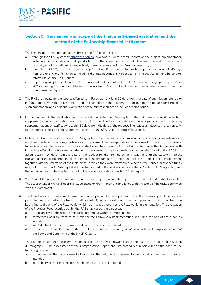

### Section 9: The manner and scope of the final merit-based evaluation and the method of the Fellowship financial settlement

- 1. The Host Institute shall prepare and submit to the PAS electronically:
	- a) through the SEA System at https://sea.pan.pl/, two Annual Merit-based Reports on the project implementation including the data indicated in Appendix No. 3 to the Agreement, within 60 days from the end of the first and second year of the Fellowship respectively, hereinafter referred to as "Annual Reports";
	- b) through the SEA System at https://sea.pan.pl/, the Final Report on the Fellowship implementation, within 60 days from the end of the Fellowship, including the data specified in Appendix No. 4 to the Agreement, hereinafter referred to as "the Final Report"
	- c) to pasific@pan.pl, the Report on the Compensation Payment, indicated in Section 4, Paragraph 3 by 30 April 2025, covering the scope of data set out in Appendix No. 5 to the Agreement, hereinafter referred to as "the Compensation Report".
- 2. The PAS shall evaluate the reports referred to in Paragraph 1 within 60 days from the date of submission referred to in Paragraph 1, with the proviso that the time counted from the moment of transmitting the request for correction, supplementation, and additional clarification of the report shall not be included in this period.
- 3. In the course of the evaluation of the reports indicated in Paragraph 1, the PAS may request correction, supplementation or clarification from the Host Institute. The Host Institute shall be obliged to submit corrections, supplementations or clarifications within 30 days from the date of the request. The request shall be sent electronically to the address indicated in the Agreement and/or via the SEA system at https://sea.pan.pl/.
- 4. Failure to submit the reports indicated in Paragraph 1 within the deadline, submission of incorrect or incomplete reports or failure to submit corrections, clarifications or supplements to the report despite the lapse of 30 days from the request for revisions, supplements or clarifications, shall constitute grounds for the PAS to terminate the Agreement with immediate effect. In such a situation, the funds transferred to the Host Institute shall be reimbursed to the PAS bank account within 14 days from the date of the request for their reimbursement, together with the statutory interest calculated for the period from the date of transferring the funds to the Host Institute to the date of their reimbursement together with the indication of the instalment, in which they were transferred, whereas the unused allowance funds referred to in Section 4, Paragraph 4 shall be transferred to the bank account indicated in Section 11, Paragraph 9, and the remaining funds shall be transferred to the account indicated in Section 11, Paragraph 8.
- 5. The Annual Reports shall include only a merit-based report on completing the tasks planned during the Fellowship. The assessment of Annual Reports shall be based on the criterion of compliance with the scope of the tasks performed with the Agreement.
- 6. The Final Report includes a merit-based part on completing the tasks planned during the Fellowship and the financial part. The financial part of the Report shall consist of, i.e., a breakdown of the costs planned and incurred from the beginning to the end of the Fellowship, which is a financial report on the Fellowship implementation. The evaluation of the Progress Report carried out by the PAS shall concern in particular:
	- a) compliance with the scope of the tasks performed within the Agreement;
	- b) correctness of disbursement of funds for the Fellowship implementation, including the use of the funds as intended;
	- c) justifiability of the costs incurred in relation to the tasks completed;
	- d) correctness of the allocation of the costs incurred to the relevant types of costs indicated in Appendix No. 4 of the Terms and Conditions of the PASIFIC Call 1.
- 7. The Compensation Report concerns the transfer of the Fellow's allowance adjustment at the rate indicated in Section 4, Paragraph 3. The assessment of the Compensation Report shall be carried out in particular on the basis of the following criteria:
	- a) correctness of the disbursement of funds for the Fellowship implementation, including the use of funds as intended;
	- b) justifiability of the costs incurred in relation to the tasks completed;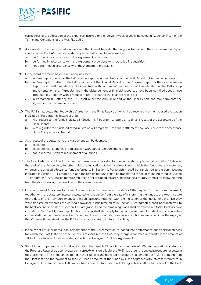

correctness of the allocation of the expenses incurred to the relevant types of costs indicated in Appendix No. 4 of the Terms and Conditions of the PASIFIC Call 1

- 8. As a result of the merit-based evaluation of the Annual Reports, the Progress Report and the Compensation Report conducted by the PAS, the Fellowship implementation can be assessed as:
	- a) performed in accordance with the Agreement provisions.
	- b) performed in accordance with the Agreement provisions with identified irregularities.
	- c) not performed in accordance with the Agreement provisions.
- 9. In the event the merit-based evaluation indicated:
	- a) in Paragraph 8, Letter a), the PAS shall accept the Annual Report or the Final Report or Compensation Report;
	- b) in Paragraph 8, Letter b), the PAS shall accept the Annual Report or the Progress Report or the Compensation Report and shall provide the Host Institute with written information about irregularities in the Fellowship implementation and, if irregularities in the disbursement of financial resources have been identified about these irregularities, together with a request to return a part of the financial resources;
	- c) in Paragraph 8, Letter c), the PAS shall reject the Annual Report or the Final Report and may terminate the Agreement with immediate effect.
- 10. The PAS shall settle the Fellowship Agreement, the Final Report of which has received the merit-based evaluation indicated in Paragraph 8, letters a) or b):
	- a) with regard to the funds indicated in Section 4, Paragraph 1, letters a) to d) as a result of the acceptance of the Final Report;
	- b) with regard to the funds indicated in Section 4, Paragraph 3, the final settlement shall occur due to the acceptance of the Compensation Report.
- 11. As a result of the settlement, the Agreement can be deemed:
	- a) executed;
	- b) executed with identifies irregularities with partial reimbursement of funds;
	- c) non-executed with reimbursement of all funds.
- 12. The Host Institute is obliged to return the unused funds provided for the Fellowship implementation within 14 days of the end of the Fellowship, together with the indication of the instalment from which the funds were transferred, whereas the unused allowance funds referred to in Section 4, Paragraph 4 shall be transferred to the bank account indicated in Section 11, Paragraph 9, and the remaining funds shall be transferred to the account indicated in Section 11, Paragraph 8. Any unused funds reimbursed after this deadline are subject to the statutory interest for delay, starting from the day following the deadline for their reimbursement.
- 13. Incorrectly used funds are to be reimbursed within 14 days from the date of the request for their reimbursement, together with the statutory interest calculated for the period from the date of transferring the funds to the Host Institute to the date of their reimbursement to the bank account, together with the indication of the instalment in which they were transferred, whereas the unused allowance funds referred to in Section 4, Paragraph 4 shall be transferred to the bank account indicated in Section 11, Paragraph 9, and the remaining funds shall be transferred to the bank account indicated in Section 11, Paragraph 8. This provision shall also apply to the reimbursement of funds due to irregularities in their disbursement ascertained in the course of controls, audits, reviews and ad hoc supervision. After the expiry of the aforementioned deadline, the PAS shall charge statutory interest for delay.
- 14. In the event of full or partial non-performance of the Agreement or its inadequate performance due to circumstances for which the Host Institute or the Fellow is responsible, the PAS may charge a contractual penalty in the amount of 10% of the allocated funds indicated in Section 4, Paragraph 1 of the Agreement.
- 15. Should the competent control bodies, including the capable EU bodies, on the basis of different regulations, state that the Progress Report has been prepared incorrectly or is unreliable, the PAS may order a repeated procedure for settling the Agreement. The irregularities found in the course of the repeated procedure shall entitle the PAS to demand from the Host Institute the payment to the PAS bank account of the funds misused together with interest referred to in Paragraph 8, whereby unused allowance funds referred to in Section 4, Paragraph 4 shall be transferred to the bank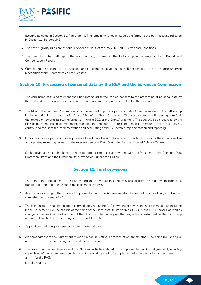

account indicated in Section 11, Paragraph 9. The remaining funds shall be transferred to the bank account indicated in Section 11, Paragraph 8.

- 16. The cost eligibility rules are set out in Appendix No. 4 of the PASIFIC Call 1 Terms and Conditions.
- 17. The Host Institute shall report the costs actually incurred in the Fellowship implementation Final Report and Compensation Report.
- 18. Completing the research tasks envisaged and obtaining negative results shall not constitute a circumstance justifying recognition of the Agreement as not executed.

### Section 10: Processing of personal data by the REA and the European Commission

- 1. The conclusion of this Agreement shall be tantamount to the Parties' consent to the processing of personal data by the REA and the European Commission in accordance with the principles set out in this Section.
- 2. The REA or the European Commission shall be entitled to process personal data of persons related to the Fellowship implementation in accordance with Article 39.1 of the Grant Agreement. The Host Institute shall be obliged to fulfil the obligation towards its staff referred to in Article 39.2 of the Grant Agreement. The data shall be processed by the REA or the Commission to implement, manage, and monitor or protect the financial interests of the EU, supervise, control, and evaluate the implementation and accounting of the Fellowship implementation and reporting.
- 3. Individuals whose personal data is processed shall have the right to access and rectify it. To do so, they must send an appropriate processing request to the relevant personal Data Controller, i.e. the National Science Centre.
- 4. Such individuals shall also have the right to lodge a complaint at any time with the President of the Personal Data Protection Office and the European Data Protection Supervisor (EDPS).

### Section 11: Final provisions

- 1. The rights and obligations of the Parties and the claims against the PAS arising from this Agreement cannot be transferred to third parties without the consent of the PAS.
- 2. Any disputes arising in the course of implementation of the Agreement shall be settled by an ordinary court of law competent for the seat of PAS.
- 3. The Host Institute shall be obliged to immediately notify the PAS in writing of any changes of essential data included in the Agreement, e.g. the change of the name of the Host Institute, its address, REGON and NIP numbers, as well as change of the bank account number of the Host Institute, under pain that any actions performed by the PAS using outdated data shall be effective against the Host Institute.
- 4. Appendices to this Agreement constitute its integral part.
- 5. Any amendment to the Agreement must be made in writing by means of an annex, otherwise being null and void, unless the provisions of this agreement stipulate otherwise.
- 6. The persons authorised to represent the PAS in all activities related to the implementation of this Agreement, including supervision of the Agreement, coordination of the work related to its implementation, and ongoing contacts are: a) - for the PAS:

Mr./Ms. <name>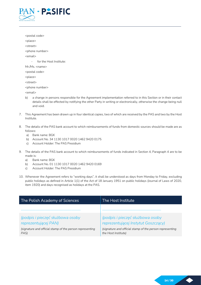

<postal code> <place> <street> <phone number> <email> - for the Host Institute: Mr./Ms. <name> <postal code> <place> <street> <phone number> <email>

- b) a change in persons responsible for the Agreement implementation referred to in this Section or in their contact details shall be effected by notifying the other Party in writing or electronically, otherwise the change being null and void.
- 7. This Agreement has been drawn up in four identical copies, two of which are received by the PAS and two by the Host Institute.
- 8. The details of the PAS bank account to which reimbursements of funds from domestic sources should be made are as follows:
	- a) Bank name: BGK
	- b) Account No. 34 1130 1017 0020 1462 9420 0175
	- c) Account Holder: The PAS Presidium
- 9. The details of the PAS bank account to which reimbursements of funds indicated in Section 4, Paragraph 4 are to be made is:
	- a) Bank name: BGK
	- b) Account No. 01 1130 1017 0020 1462 9420 0169
	- c) Account Holder: The PAS Presidium
- 10. Whenever the Agreement refers to "working days", it shall be understood as days from Monday to Friday, excluding public holidays as defined in Article 1(1) of the Act of 18 January 1951 on public holidays (Journal of Laws of 2020, item 1920) and days recognised as holidays at the PAS.

| The Polish Academy of Sciences                                   | The Host Institute                                                              |
|------------------------------------------------------------------|---------------------------------------------------------------------------------|
|                                                                  |                                                                                 |
| (podpis i pieczęć służbowa osoby<br>reprezentującej PAN)         | (podpis i pieczęć służbowa osoby<br>reprezentującej Instytut Goszczący)         |
| (signature and official stamp of the person representing<br>PAS) | (signature and official stamp of the person representing<br>the Host Institute) |

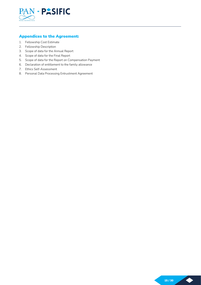

### Appendices to the Agreement:

- 1. Fellowship Cost Estimate
- 2. Fellowship Description
- 3. Scope of data for the Annual Report
- 4. Scope of data for the Final Report
- 5. Scope of data for the Report on Compensation Payment
- 6. Declaration of entitlement to the family allowance
- 7. Ethics Self-Assessment
- 8. Personal Data Processing Entrustment Agreement

 $\blacklozenge$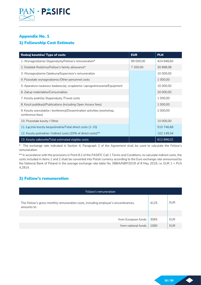

# Appendix No. 1 1) Fellowship Cost Estimate

| Rodzaj kosztów/ Type of costs                                                              | <b>EUR</b> | <b>PLN</b> |
|--------------------------------------------------------------------------------------------|------------|------------|
| 1. Wynagrodzenie Stypendysty/Fellow's remuneration*                                        | 99 000.00  | 424 848.60 |
| 2. Dodatek Rodzinny/Fellow's family allowance*                                             | 7 200,00   | 30 898,08  |
| 3. Wynagrodzenie Opiekuna/Supervisor's remuneration                                        |            | 10 000,00  |
| 4. Pozostałe wynagrodzenia / Other personnel costs                                         |            | 1 000,00   |
| 5. Aparatura naukowo-badawczej, urządzenia i oprogramowanie/Equipment                      |            | 10 000,00  |
| 6. Zakup materiałów/Consumables                                                            |            | 20 000,00  |
| 7. Koszty podróży Stypendysty /Travel costs                                                |            | 1 000,00   |
| 8. Koszt publikacji/Publications (including Open Access fees)                              |            | 1 000,00   |
| 9. Koszty warsztatów i konferencji/Dissemination activities (workshop,<br>conference fees) |            | 2 000,00   |
| 10. Pozostałe koszty / Other                                                               |            | 10 000,00  |
| 11. Łącznie koszty bezpośrednie/Total direct costs (1-10)                                  |            | 510746,68  |
| 12. Koszty pośrednie / Indirect costs (20% of direct costs)**                              |            | 102 149,34 |
| 13. Koszty całkowite/Total estimated eligible costs                                        |            | 612896,02  |

\* The exchange rate indicated in Section 4, Paragraph 2 of the Agreement shall be used to calculate the Fellow's remuneration.

\*\* In accordance with the provisions in Point 8.2 of the PASIFIC Call 1 Terms and Conditions, to calculate indirect costs, the costs included in items 1 and 2 shall be converted into Polish currency according to the Euro exchange rate announced by the National Bank of Poland in the average exchange rate table No. 088/A/NBP/2019 of 8 May 2019, i.e. EUR 1 = PLN 4.2914.

### 2) Fellow's remuneration

| Fellow's remuneration                                                                            |      |            |  |
|--------------------------------------------------------------------------------------------------|------|------------|--|
| The Fellow's gross monthly remuneration costs, including employer's encumbrances,<br>amounts to: |      | <b>EUR</b> |  |
|                                                                                                  |      |            |  |
| from European funds                                                                              | 3065 | EUR        |  |
| from national funds                                                                              | 1060 | <b>EUR</b> |  |

 $\blacklozenge$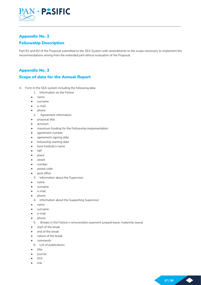

# Appendix No. 2 Fellowship Description

Part B1 and B2 of the Proposal submitted to the SEA System with amendments to the scope necessary to implement the recommendations arising from the extended joint ethical evaluation of the Proposal.

### Appendix No. 3

### Scope of data for the Annual Report

- A. Form in the SEA system including the following data
	- 1. Information on the Fellow
	- name
	- surname
	- e-mail
	- phone
		- 2. Agreement information
	- proposal title
	- acronym
	- maximum funding for the Fellowship implementation
	- agreement number
	- agreement signing date
	- fellowship starting date
	- host Institute's name
	- NIP
	- place
	- street
	- number
	- postal code
	- post office
	- 3. Information about the Supervisor
	- name
	- surname
	- e-mail
	- phone
	- 4. Information about the Supporting Supervisor
	- name
	- surname
	- e-mail
	- phone
		- 5. Breaks in the Fellow's remuneration payment (unpaid leave, maternity leave)
	- start of the break
	- end of the break
	- nature of the break
	- comments
		- 6. List of publications
	- title
	- journal
	- DOI
	- link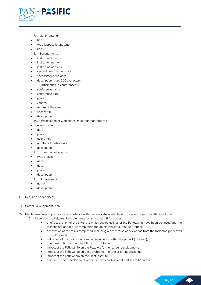

- 7. List of patents
- title
- type (application/patent)
- link
- 8. Secondments
- institution type
- institution name
- institution address
- secondment starting date
- secondment end date
- description (max. 500 characters)
- 9. Participation in conferences
- conference name
- conference date
- place
- country
- nature of the speech
- speech tile
- description

10. Organisation of workshops, meetings, conferences

- event name
- date
- place
- event type
- number of participants
- description
- 11. Promotion of science
- type of action
- name
- date
- place
- description
- 12. Other results
- name
- description
- B. Required appendices:
- 1) Career Development Plan
- 2) Merit-based report prepared in accordance with the template available at https://pasific.pan.pl/call-1/, including: 1. Report on the Fellowship implementation (maximum 6 A4 pages)
	- brief description of the extent to which the objectives of the Fellowship have been achieved and the
		- reasons not or not fully completing the objectives set out in the Proposal;
		- description of the tasks completed, including a description of deviations from the task plan presented in the Proposal;
		- indication of the most significant achievements within the project (in points);
		- brief description of the scientific results obtained;
		- impact of the Fellowship on the Fellow's further career development;
		- impact of the Fellowship on the development of the scientific discipline;
		- impact of the Fellowship on the Host Institute;
		- plan for further development of the Fellow's professional and scientific career;

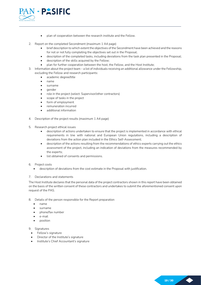

- plan of cooperation between the research institute and the Fellow.
- 2. Report on the completed Secondment (maximum 1 A4 page)
	- brief description to which extent the objectives of the Secondment have been achieved and the reasons for not or not fully completing the objectives set out in the Proposal;
	- description of the completed tasks, including deviations from the task plan presented in the Proposal;
	- description of the skills acquired by the Fellow;
	- plan for further cooperation between the host, the Fellow, and the Host Institute;
- 3. Information about the project team a list of individuals receiving an additional allowance under the Fellowship,
	- excluding the Fellow and research participants:
		- academic degree/title
		- name
		- surname
		- gender
		- role in the project (select: Supervisor/other contractors)
		- scope of tasks in the project
		- form of employment
		- remuneration incurred
		- additional information
- 4. Description of the project results (maximum 1 A4 page)
- 5. Research project ethical issues
	- description of actions undertaken to ensure that the project is implemented in accordance with ethical requirements in line with national and European Union regulations, including a description of deviations from the action plan included in the Ethics Self-Assessment;
	- description of the actions resulting from the recommendations of ethics experts carrying out the ethics assessment of the project, including an indication of deviations from the measures recommended by the experts;
	- list obtained of consents and permissions.
- 6. Project costs
	- description of deviations from the cost estimate in the Proposal with justification.

### 7. Declarations and statements

The Host Institute declares that the personal data of the project contractors shown in this report have been obtained on the basis of the written consent of these contractors and undertakes to submit the aforementioned consent upon request of the PAS.

- 8. Details of the person responsible for the Report preparation
	- name
	- surname
	- phone/fax number
	- e-mail
	- position

9. Signatures

- Fellow's signature
- Director of the Institute's signature
- Institute's Chief Accountant's signature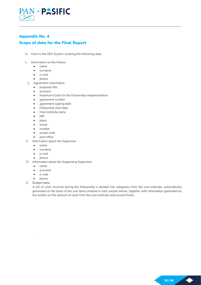

# Appendix No. 4

### Scope of data for the Final Report

- A. Form in the SEA System covering the following data:
- 1. Information on the Fellow:
	- name
	- surname
	- e-mail
	- phone
	- 2. Agreement information
		- proposal title
		- acronym
		- maximum funds for the Fellowship implementation
		- agreement number
		- agreement signing date
		- Fellowship start date
		- Host Institute name
		- NIP
		- place
		- street
		- number
		- postal code
		- post office
- C. Information about the Supervisor
	- name
	- surname
	- e-mail
	- phone
- D. Information about the Supporting Supervisor
	- name
	- surname
	- e-mail
	- phone
- E. Budget table

.

A list of costs incurred during the Fellowship is divided into categories from the cost estimate, automatically generated on the basis of the cost items entered in each section below, together with information generated by the system on the amount of costs from the cost estimate and unused funds.

 $\blacklozenge$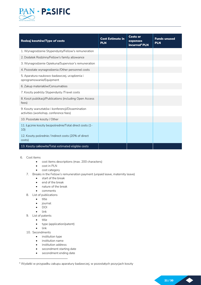

| Rodzaj kosztów/Type of costs                                                               | <b>Cost Estimate in</b><br><b>PLN</b> | <b>Costs or</b><br>expenses<br>incurred <sup>4</sup> PLN | <b>Funds unused</b><br><b>PLN</b> |
|--------------------------------------------------------------------------------------------|---------------------------------------|----------------------------------------------------------|-----------------------------------|
| 1. Wynagrodzenie Stypendysty/Fellow's remuneration                                         |                                       |                                                          |                                   |
| 2. Dodatek Rodzinny/Fellow's family allowance                                              |                                       |                                                          |                                   |
| 3. Wynagrodzenie Opiekuna/Supervisor's remuneration                                        |                                       |                                                          |                                   |
| 4. Pozostałe wynagrodzenia / Other personnel costs                                         |                                       |                                                          |                                   |
| 5. Aparatura naukowo-badawczej, urządzenia i<br>oprogramowanie/Equipment                   |                                       |                                                          |                                   |
| 6. Zakup materiałów/Consumables                                                            |                                       |                                                          |                                   |
| 7. Koszty podróży Stypendysty /Travel costs                                                |                                       |                                                          |                                   |
| 8. Koszt publikacji/Publications (including Open Access<br>fees)                           |                                       |                                                          |                                   |
| 9. Koszty warsztatów i konferencji/Dissemination<br>activities (workshop, conference fees) |                                       |                                                          |                                   |
| 10. Pozostałe koszty / Other                                                               |                                       |                                                          |                                   |
| 11. Łącznie koszty bezpośrednie/Total direct costs (1-<br>10 <sub>l</sub>                  |                                       |                                                          |                                   |
| 12. Koszty pośrednie / Indirect costs (20% of direct<br>costs)                             |                                       |                                                          |                                   |
| 13. Koszty całkowite/Total estimated eligible costs                                        |                                       |                                                          |                                   |

- 6. Cost items
	- cost items descriptions (max. 200 characters)
	- cost in PLN
	- cost category
	- 7. Breaks in the Fellow's remuneration payment (unpaid leave, maternity leave)
		- start of the break
		- end of the break
		- nature of the break
		- comments
	- 8. List of publications
		- title
		- journal
		- DOI
		- link
	- 9. List of patents
		- title
		- type (application/patent)
		- $\bullet$  link
	- 10. Secondments
		- **•** institution type
		- **•** institution name
		- institution address
		- secondment starting date
		- secondment ending date

<sup>4</sup> Wydatki w przypadku zakupu aparatury badawczej, w pozostałych pozycjach koszty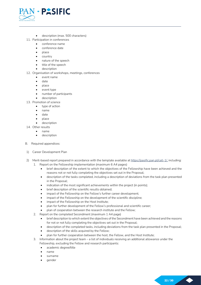

- description (max. 500 characters)
- 11. Participation in conferences
	- conference name
	- conference date
	- place
	- country
	- nature of the speech
	- title of the speech
	- description
- 12. Organisation of workshops, meetings, conferences
	- event name
	- date
	- place
	- event type
	- number of participants
	- description
- 13. Promotion of science
	- type of action
	- name
	- date
	- place
	- description
- 14. Other results
	- name
	- description
- B. Required appendices:
- 1) Career Development Plan
- 2) Merit-based report prepared in accordance with the template available at https://pasific.pan.pl/call-1/, including:
	- 1. Report on the Fellowship implementation (maximum 6 A4 pages)
		- brief description of the extent to which the objectives of the Fellowship have been achieved and the reasons not or not fully completing the objectives set out in the Proposal;
		- description of the tasks completed, including a description of deviations from the task plan presented in the Proposal;
		- indication of the most significant achievements within the project (in points);
		- brief description of the scientific results obtained;
		- impact of the Fellowship on the Fellow's further career development;
		- impact of the Fellowship on the development of the scientific discipline;
		- impact of the Fellowship on the Host Institute;
		- plan for further development of the Fellow's professional and scientific career;
		- plan of cooperation between the research institute and the Fellow;
	- 2. Report on the completed Secondment (maximum 1 A4 page)
		- brief description to which extent the objectives of the Secondment have been achieved and the reasons for not or not fully completing the objectives set out in the Proposal;
		- description of the completed tasks, including deviations from the task plan presented in the Proposal;
		- description of the skills acquired by the Fellow;
		- plan for further cooperation between the host, the Fellow, and the Host Institute;
	- 3. Information about the project team a list of individuals receiving an additional allowance under the Fellowship, excluding the Fellow and research participants:
		- academic degree/title
		- name
		- surname
		- gender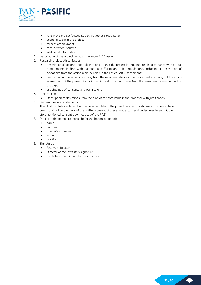

- role in the project (select: Supervisor/other contractors)
- scope of tasks in the project
- form of employment
- remuneration incurred
- additional information
- 4. Description of the project results (maximum 1 A4 page)
- 5. Research project ethical issues
	- description of actions undertaken to ensure that the project is implemented in accordance with ethical requirements in line with national and European Union regulations, including a description of deviations from the action plan included in the Ethics Self-Assessment;
	- description of the actions resulting from the recommendations of ethics experts carrying out the ethics assessment of the project, including an indication of deviations from the measures recommended by the experts;
	- list obtained of consents and permissions.
- 6. Project costs
	- Description of deviations from the plan of the cost items in the proposal with justification.
- 7. Declarations and statements

The Host Institute declares that the personal data of the project contractors shown in this report have been obtained on the basis of the written consent of these contractors and undertakes to submit the aforementioned consent upon request of the PAS.

- 8. Details of the person responsible for the Report preparation
	- name
	- surname
	- phone/fax number
	- e-mail
	- position
- 9. Signatures
	- Fellow's signature
	- Director of the Institute's signature
	- Institute's Chief Accountant's signature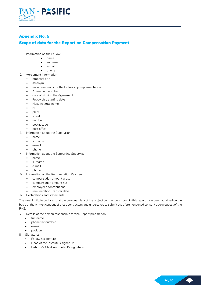

## Appendix No. 5

### Scope of data for the Report on Compensation Payment

- 1. Information on the Fellow
	- name
	- surname
	- e-mail
	- phone
- 2. Agreement information
	- proposal title
	- acronym
	- maximum funds for the Fellowship implementation
	- Agreement number
	- date of signing the Agreement
	- Fellowship starting date
	- Host Institute name
	- NIP
	- place
	- street
	- number
	- postal code
	- post office
- 3. Information about the Supervisor
	- name
	- surname
	- e-mail
	- phone
- 4. Information about the Supporting Supervisor
	- name
	- surname
	- e-mail
	- phone
- 5. Information on the Remuneration Payment
	- compensation amount gross
	- compensation amount net
	- employer's contributions
	- remuneration Transfer date
- 6. Declarations and statements

The Host Institute declares that the personal data of the project contractors shown in this report have been obtained on the basis of the written consent of these contractors and undertakes to submit the aforementioned consent upon request of the PAS.

- 7. Details of the person responsible for the Report preparation
	- full name:
	- phone/fax number:
	- e-mail
	- position
- 8. Signatures
	- Fellow's signature
	- Head of the Institute's signature
	- Institute's Chief Accountant's signature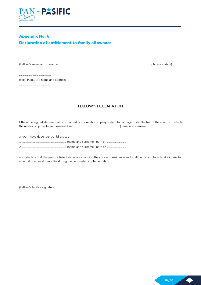

# Appendix No. 6 Declaration of entitlement to family allowance

(Fellow's name and surname) (place and date)

................................................

(Host Institute's name and address)

............................................... ...............................................

### FELLOW'S DECLARATION

............................................... ....................................................

I, the undersigned, declare that I am married or in a relationship equivalent to marriage under the law of the country in which the relationship has been formalised with ………………………………………………………… (name and surname).

and/or I have dependent children, i.e.:

1. ………………………………………………………… (name and surname), born on ……………………….

2. ………………………………………………………… (name and surname), born on ……………………….

and I declare that the persons listed above are changing their place of residence and shall be coming to Poland with me for a period of at least 3 months during the Fellowship implementation.

............................................................ (Fellow's legible signature)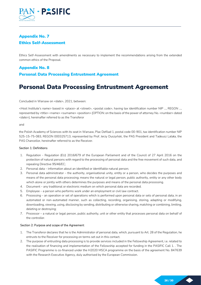

# Appendix No. 7 Ethics Self-Assessment

Ethics Self-Assessment with amendments as necessary to implement the recommendations arising from the extended common ethics of the Proposal.

# Appendix No. 8 Personal Data Processing Entrustment Agreement

# Personal Data Processing Entrustment Agreement

Concluded in Warsaw on <date>, 2021, between:

<Host Institute's name> based in <place> at <street>, <postal code>, having tax identification number NIP ..., REGON ..., represented by <title> <name> <surname> <position> {OPTION: on the basis of the power of attorney No. <number> dated <date>}, hereinafter referred to as the Transferor

and

the Polish Academy of Sciences with its seat in Warsaw, Plac Defilad 1, postal code 00-901, tax identification number NIP 525-15-75-083, REGON 000325713, represented by Prof. Jerzy Duszyński, the PAS President and Tadeusz Latała, the PAS Chancellor, hereinafter referred to as the Receiver.

### Section 1: Definitions

- 1. Regulation Regulation (EU) 2016/679 of the European Parliament and of the Council of 27 April 2016 on the protection of natural persons with regard to the processing of personal data and the free movement of such data, and repealing Directive 95/46/EC;
- 2. Personal data information about an identified or identifiable natural person;
- 3. Personal data administrator the authority, organisational unity, entity or a person, who decides the purposes and means of the personal data processing; means the natural or legal person, public authority, entity or any other body which alone or jointly with others determines the purposes and means of the personal data processing.
- 4. Document any traditional or electronic medium on which personal data are recorded.
- 5. Employee a person who performs work under an employment or civil law contract.
- 6. Processing an operation or set of operations which is performed upon personal data or sets of personal data, in an automated or non-automated manner, such as collecting, recording, organising, storing, adapting or modifying, downloading, viewing, using, disclosing by sending, distributing or otherwise sharing, matching or combining, limiting, deleting or destroying;
- 7. Processor a natural or legal person, public authority, unit or other entity that processes personal data on behalf of the controller.

### Section 2: Purpose and scope of the Agreement

- 1. The Transferor declares that he is the Administrator of personal data, which, pursuant to Art. 28 of the Regulation, he entrusts to the Receiver for processing on terms set out in this contact.
- 2. The purpose of entrusting data processing is to provide services included in the Fellowship Agreement, i.e. related to the realisation of financing and implementation of the Fellowship accepted for funding in the PASIFIC Call 1. . The PASIFIC Programme is co-financed under the H2020 MSCA programme on the basis of the agreement No. 847639 with the Research Executive Agency, duly authorised by the European Commission.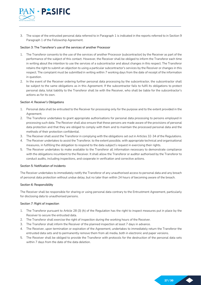

3. The scope of the entrusted personal data referred to in Paragraph 1 is indicated in the reports referred to in Section 9 Paragraph 1 of the Fellowship Agreement.

### Section 3: The Transferor's use of the services of another Processor

- 1. The Transferor consents to the use of the services of another Processor (subcontractor) by the Receiver as part of the performance of the subject of this contact. However, the Receiver shall be obliged to inform the Transferor each time in writing about the intention to use the services of a subcontractor and about changes in this respect. The Transferor retains the right to submit an objection to using a particular subcontractor's services by the Receiver or changes in this respect. The complaint must be submitted in writing within 7 working days from the date of receipt of the information in question.
- 2. In the event of the Receiver ordering further personal data processing by the subcontractor, the subcontractor shall be subject to the same obligations as in this Agreement. If the subcontractor fails to fulfil its obligations to protect personal data, total liability to the Transferor shall lie with the Receiver, who shall be liable for the subcontractor's actions as for its own.

### Section 4: Receiver's Obligations

- 1. Personal data shall be entrusted to the Receiver for processing only for the purpose and to the extent provided in the Agreement.
- 2. The Transferor undertakes to grant appropriate authorisations for personal data processing to persons employed in processing such data. The Receiver shall also ensure that these persons are made aware of the provisions of personal data protection and that they are obliged to comply with them and to maintain the processed personal data and the methods of their protection confidential.
- 3. The Receiver shall assist the Transferor in complying with the obligations set out in Articles 32-34 of the Regulations.
- 4. The Receiver undertakes to assist the Transferor, to the extent possible, with appropriate technical and organisational measures, in fulfilling the obligation to respond to the data subject's request in exercising their rights.
- 5. The Receiver undertakes to make available to the Transferor all information necessary to demonstrate compliance with the obligations incumbent to the Receiver. It shall allow the Transferor or auditor authorised by the Transferor to conduct audits, including inspections, and cooperate in verification and corrective actions.

#### Section 5: Notification of incidents

The Receiver undertakes to immediately notify the Transferor of any unauthorised access to personal data and any breach of personal data protection without undue delay, but no later than within 24 hours of becoming aware of the breach.

#### Section 6: Responsibility

The Receiver shall be responsible for sharing or using personal data contrary to the Entrustment Agreement, particularly for disclosing data to unauthorised persons.

#### Section 7: Right of inspection

- 1. The Transferor pursuant to Article 28 (3) (h) of the Regulation has the right to inspect measures put in place by the Receiver to secure the entrusted data.
- 2. The Transferor shall exercise the right of inspection during the working hours of the Receiver.
- 3. The Transferor shall inform the Receiver of the planned inspection at least 7 days in advance.
- 4. The Receiver, upon termination or expiration of the Agreement, undertakes to immediately return the Transferor the entrusted data sets and to permanently remove them from all media, both in electronic and paper versions.
- 5. The Receiver shall be obliged to provide the Transferor with protocols for the destruction of the personal data sets within 7 days from the date of the data deletion.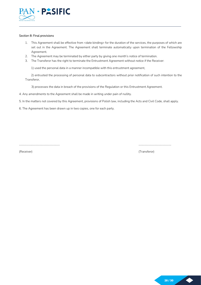

### Section 8: Final provisions

- 1. This Agreement shall be effective from <date binding> for the duration of the services, the purposes of which are set out in the Agreement. The Agreement shall terminate automatically upon termination of the Fellowship Agreement.
- 2. The Agreement may be terminated by either party by giving one month's notice of termination.
- 3. The Transferor has the right to terminate the Entrustment Agreement without notice if the Receiver:

1) used the personal data in a manner incompatible with this entrustment agreement,

2) entrusted the processing of personal data to subcontractors without prior notification of such intention to the Transferor,

3) processes the data in breach of the provisions of the Regulation or this Entrustment Agreement.

4. Any amendments to the Agreement shall be made in writing under pain of nullity.

5. In the matters not covered by this Agreement, provisions of Polish law, including the Acts and Civil Code, shall apply.

……………………………………………………. ………………………………………….

6. The Agreement has been drawn up in two copies, one for each party.

(Receiver) (Transferor)

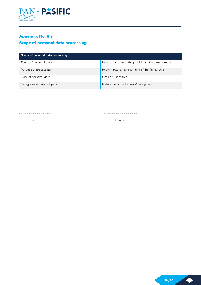

# Appendix No. 8 a Scope of personal data processing

| Scope of personal data processing |                                                    |
|-----------------------------------|----------------------------------------------------|
| Scope of personal data            | In accordance with the provisions of the Agreement |
| Purpose of processing             | Implementation and funding of the Fellowship       |
| Type of personal data             | Ordinary, sensitive                                |
| Categories of data subjects       | Natural persons/ Fellows/ Foreigners               |

………………………………………… ……………………………………………

Receiver **Transferor** Transferor

 $\blacklozenge$